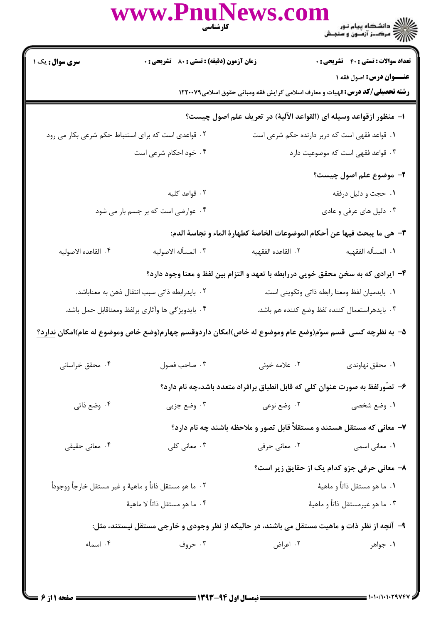## www.Pnur )<br>))))) دانشڪاه پيام نور<br>))) **زمان آزمون (دقیقه) : تستی : 80 گشریحی : 0 تعداد سوالات : تستی : 40 قشریحی : 0** سری سوال: یک ۱ **عنــوان درس: اصول فقه ۱**

**رشته تحصیلی/کد درس:**الهیات و معارف اسلامی گرایش فقه ومبانی حقوق اسلامی1۲۲۰۰۷۹ ا– منظور ازقواعد وسيله اي (القواعد الآلية) در تعريف علم اصول چيست؟ ٠٢ قواعدي است كه براي استنباط حكم شرعي بكار مي رود ۰۱ قواعد فقهی است که دربر دارنده حکم شرعی است ۰۴ خود احکام شرعی است ۰۳ قواعد فقهی است که موضوعیت دارد ٢- موضوع علم اصول چيست؟ ۲. قواعد کلیه ۰۱ حجت و دلیل درفقه ۰۳ دلیل های عرفی و عادی ۰۴ عوارضی است که بر جسم بار می شود ٣- هي ما يبحث فيها عن أحكام الموضوعات الخاصة كطهارة الماء و نجاسة الدم: ۴. القاعده الاصوليه ٢. المسأله الاصوليه ٢. القاعده الفقهيه ٠١. المسأله الفقهيه ۴– ایرادی که به سخن محقق خویی دررابطه با تعهد و التزام بین لفظ و معنا وجود دارد؟ ۰۲ بایدرابطه ذاتی سبب انتقال ذهن به معناباشد. ٠١. بايدميان لفظ ومعنا رابطه ذاتي وتكويني است. ۰۳ بايدهراستعمال كننده لفظ وضع كننده هم باشد. ۴. بايدويژگي ها وآثاري برلفظ ومعناقابل حمل باشد. ۵– به نظرچه کسی قسم سوّم(وضع عام وموضوع له خاص)امکان داردوقسم چهارم(وضع خاص وموضوع له عام)امکان ندارد؟ ۰۴ محقق خراسانی ۰۳ صاحب فصول ۰۲ علامه خوئی ۰۱ محقق نهاوندی ۶– تصّورلفظ به صورت عنوان کلی که قابل انطباق برافراد متعدد باشد،چه نام دارد؟ ۰۴ وضع ذاتي ۰۳ وضع جزیی ۰۲ وضع نوعی ۰۱ وضع شخص<sub>ی</sub> ۷– معانی که مستقل هستند و مستقلاً قابل تصور و ملاحظه باشند چه نام دارد؟ ۰۲ معانی حرفی ۰۳ معانی کلی ۰۴ معانی حقیقی ۰۱ معانی اسمی ۸- معانی حرفی جزو کدام یک از حقایق زیر است؟ ۰۱ ما هو مستقل ذاتاً و ماهيهٔ ٢٠ ما هو مستقل ذاتاً و ماهيهٔ و غير مستقل خارجاً ووجوداً ۴. ما هو مستقل ذاتاً لا ماهيهٔ ۰۳ ما هو غیرمستقل ذاتاً و ماهیهٔ ۹– آنچه از نظر ذات و ماهیت مستقل می باشند، در حالیکه از نظر وجودی و خارجی مستقل نیستند، مثل: ۰۴ اسماء ۰۳ حروف ۰۲ اعراض ۰۱ جواهر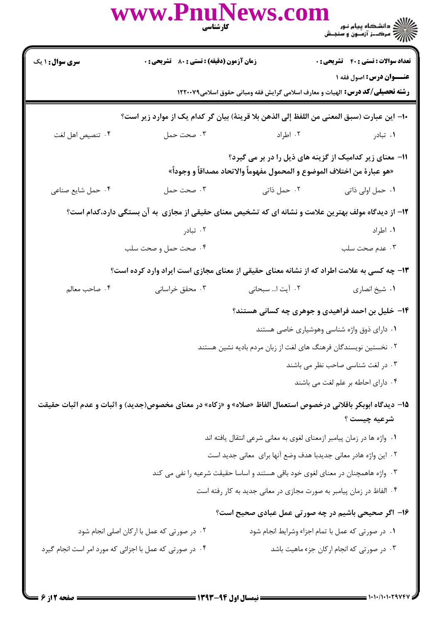|                                                                 | www.PhuNews.co<br>كارشناسي                                                                                                          |                                                                       |                                                                                                                 |  |  |
|-----------------------------------------------------------------|-------------------------------------------------------------------------------------------------------------------------------------|-----------------------------------------------------------------------|-----------------------------------------------------------------------------------------------------------------|--|--|
| سری سوال: ۱ یک                                                  | زمان آزمون (دقیقه) : تستی : 80 ٪ تشریحی : 0                                                                                         |                                                                       | <b>تعداد سوالات : تستي : 40 - تشريحي : 0</b>                                                                    |  |  |
|                                                                 |                                                                                                                                     |                                                                       | عنــوان درس: اصول فقه ۱<br><b>رشته تحصیلی/کد درس:</b> الهیات و معارف اسلامی گرایش فقه ومبانی حقوق اسلامی۱۲۲۰۰۷۹ |  |  |
|                                                                 |                                                                                                                                     |                                                                       |                                                                                                                 |  |  |
| ۰۴ تنصيص اهل لغت                                                | ∙ا− اين عبارت (سبق المعنى من اللفظ إلى الذهن بلا قرينهٔ) بيان گر كدام يک از موارد زير است؟<br>۰۳ صحت حمل                            | ۰۲ اطراد                                                              | ۰۱ تبادر                                                                                                        |  |  |
|                                                                 |                                                                                                                                     |                                                                       |                                                                                                                 |  |  |
|                                                                 | 11- معنای زیر کدامیک از گزینه های ذیل را در بر می گیرد؟<br>«هو عبارة من اختلاف الموضوع و المحمول مفهوماً والاتحاد مصداقاً و وجوداً» |                                                                       |                                                                                                                 |  |  |
| ۰۴ حمل شايع صناعي                                               | ۰۳ صحت حمل                                                                                                                          | ۰۲ حمل ذاتی                                                           | ٠١ حمل اولي ذاتي                                                                                                |  |  |
|                                                                 | ۱۲– از دیدگاه مولف بهترین علامت و نشانه ای که تشخیص معنای حقیقی از مجازی ًبه آن بستگی دارد،کدام است؟                                |                                                                       |                                                                                                                 |  |  |
|                                                                 | ۰۲ تبادر                                                                                                                            |                                                                       | ۰۱ اطراد                                                                                                        |  |  |
|                                                                 | ۰۴ صحت حمل و صحت سلب                                                                                                                |                                                                       | ۰۳ عدم صحت سلب                                                                                                  |  |  |
|                                                                 | ۱۳- چه کسی به علامت اطراد که از نشانه معنای حقیقی از معنای مجازی است ایراد وارد کرده است؟                                           |                                                                       |                                                                                                                 |  |  |
| ۰۴ صاحب معالم                                                   | ۰۳ محقق خراسانی                                                                                                                     | ٢.       آیت ا سبحانی                                                 | ٠١ شيخ انصاري                                                                                                   |  |  |
|                                                                 |                                                                                                                                     |                                                                       | ۱۴- خلیل بن احمد فراهیدی و جوهری چه کسانی هستند؟                                                                |  |  |
|                                                                 |                                                                                                                                     |                                                                       | ۰۱ دارای ذوق واژه شناسی وهوشیاری خاصی هستند                                                                     |  |  |
| ۰۲ نخستین نویسندگان فرهنگ های لغت از زبان مردم بادیه نشین هستند |                                                                                                                                     |                                                                       |                                                                                                                 |  |  |
| ۰۳ در لغت شناسی صاحب نظر می باشند                               |                                                                                                                                     |                                                                       |                                                                                                                 |  |  |
|                                                                 |                                                                                                                                     |                                                                       | ۰۴ دارای احاطه بر علم لغت می باشند                                                                              |  |  |
|                                                                 | ۱۵− دیدگاه ابوبکر باقلانی درخصوص استعمال الفاظ «صلاه» و «زکاه» در معنای مخصوص(جدید) و اثبات و عدم اثبات حقیقت                       |                                                                       |                                                                                                                 |  |  |
|                                                                 |                                                                                                                                     |                                                                       | شرعيه چيست ؟                                                                                                    |  |  |
|                                                                 |                                                                                                                                     | ۰۱ واژه ها در زمان پیامبر ازمعنای لغوی به معانی شرعی انتقال یافته اند |                                                                                                                 |  |  |
|                                                                 |                                                                                                                                     | ٠٢ اين واژه هادر معاني جديدبا هدف وضع آنها براي  معاني جديد است       |                                                                                                                 |  |  |
|                                                                 | ۰۳ واژه هاهمچنان در معنای لغوی خود باقی هستند و اساسا حقیقت شرعیه را نفی می کند                                                     |                                                                       |                                                                                                                 |  |  |
|                                                                 |                                                                                                                                     | ۰۴ الفاظ در زمان پیامبر به صورت مجازی در معانی جدید به کار رفته است   |                                                                                                                 |  |  |
|                                                                 |                                                                                                                                     |                                                                       | ۱۶– اگر صحیحی باشیم در چه صورتی عمل عبادی صحیح است؟                                                             |  |  |
|                                                                 | ۰۲ در صورتی که عمل با ارکان اصلی انجام شود                                                                                          |                                                                       | ٠١ در صورتي كه عمل با تمام اجزاء وشرايط انجام شود                                                               |  |  |
| ۰۴ در صورتی که عمل با اجزائی که مورد امر است انجام گیرد         |                                                                                                                                     |                                                                       | ۰۳ در صورتی که انجام ارکان جزء ماهیت باشد                                                                       |  |  |
|                                                                 |                                                                                                                                     |                                                                       |                                                                                                                 |  |  |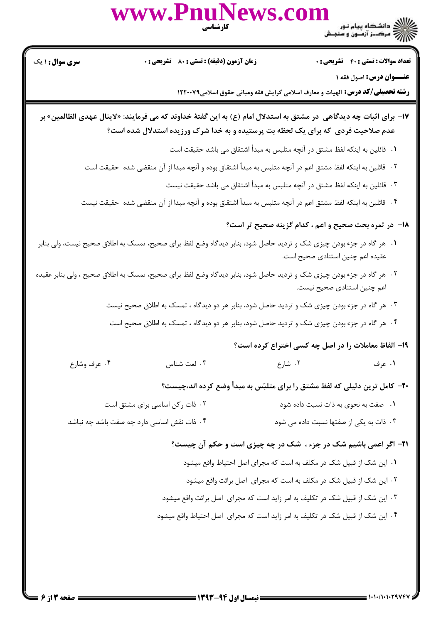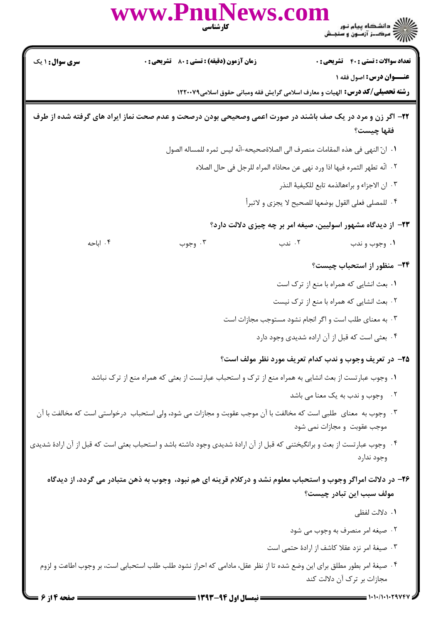|                        | www.PnuNews.com<br>كارشناسي                                                                                                |        |                                                                                      |
|------------------------|----------------------------------------------------------------------------------------------------------------------------|--------|--------------------------------------------------------------------------------------|
| <b>سری سوال : ۱ یک</b> | زمان آزمون (دقیقه) : تستی : 80 ٪ تشریحی : 0                                                                                |        | <b>تعداد سوالات : تستی : 40 - تشریحی : 0</b>                                         |
|                        |                                                                                                                            |        | عنــوان درس: اصول فقه ۱                                                              |
|                        |                                                                                                                            |        | <b>رشته تحصیلی/کد درس:</b> الهیات و معارف اسلامی گرایش فقه ومبانی حقوق اسلامی۱۲۲۰۰۷۹ |
|                        | ۲۲- اگر زن و مرد در یک صف باشند در صورت اعمی وصحیحی بودن درصحت و عدم صحت نماز ایراد های گرفته شده از طرف                   |        | فقها چیست؟                                                                           |
|                        |                                                                                                                            |        | ١.  انّ النهي في هذه المقامات منصرف الى الصلاةصحيحه-انّه ليس ثمره للمساله الصول      |
|                        |                                                                                                                            |        | ٢ .  انّه تطهر الثمره فيها اذا ورد نهى عن محاذاه المراه للرجل في حال الصلاه          |
|                        |                                                                                                                            |        | ٣. ان الاجزاء و براءهالذمه تابع للكيفية النذر                                        |
|                        |                                                                                                                            |        | ۰۴ للمصلي فعلى القول بوضعها للصحيح لا يجزي و لاتبرأ                                  |
|                        |                                                                                                                            |        | <b>۲۳</b> - از دیدگاه مشهور اسولیین، صیغه امر بر چه چیزی دلالت دارد؟                 |
| ۰۴ اباحه               | ۰۳ وجوب                                                                                                                    | ۰۲ ندب | ۰۱ وجوب و ندب                                                                        |
|                        |                                                                                                                            |        | ۲۴- منظور از استحباب چیست؟                                                           |
|                        |                                                                                                                            |        | ۰۱ بعث انشایی که همراه با منع از ترک است                                             |
|                        |                                                                                                                            |        | ۰۲ بعث انشایی که همراه با منع از ترک نیست                                            |
|                        |                                                                                                                            |        | ۰۳ به معنای طلب است و اگر انجام نشود مستوجب مجازات است                               |
|                        |                                                                                                                            |        | ۰۴ بعثي است كه قبل از آن اراده شديدي وجود دارد                                       |
|                        |                                                                                                                            |        | ۲۵– در تعریف وجوب و ندب کدام تعریف مورد نظر مولف است؟                                |
|                        | ۰۱ وجوب عبارتست از بعث انشایی به همراه منع از ترک و استحباب عبارتست از بعثی که همراه منع از ترک نباشد                      |        |                                                                                      |
|                        |                                                                                                                            |        | ٢. وجوب و ندب به يک معنا مي باشد                                                     |
|                        | ۰۳ وجوب به  معنای  طلبی است که مخالفت با آن موجب عقوبت و مجازات می شود، ولی استحباب  درخواستی است که مخالفت با آن          |        | موجب عقوبت و مجازات نمی شود                                                          |
|                        | ۰۴ وجوب عبارتست از بعث و برانگیختنی که قبل از آن ارادهٔ شدیدی وجود داشته باشد و استحباب بعثی است که قبل از آن ارادهٔ شدیدی |        | وجود ندارد                                                                           |
|                        | ۲۶– در دلالت امراگر وجوب و استحباب معلوم نشد و درکلام قرینه ای هم نبود، وجوب به ذهن متبادر می گردد، از دیدگاه              |        |                                                                                      |
|                        |                                                                                                                            |        | مولف سبب این تبادر چیست؟                                                             |
|                        |                                                                                                                            |        | ۰۱ دلالت لفظی                                                                        |
|                        |                                                                                                                            |        | ۰۲ صیغه امر منصرف به وجوب می شود                                                     |
|                        |                                                                                                                            |        | ۰۳ صیغهٔ امر نزد عقلا کاشف از ارادهٔ حتمی است                                        |
|                        | ۰۴ صیغهٔ امر بطور مطلق برای این وضع شده تا از نظر عقل، مادامی که احراز نشود طلب طلب استحبابی است، بر وجوب اطاعت و لزوم     |        | مجازات بر ترک آن دلالت کند                                                           |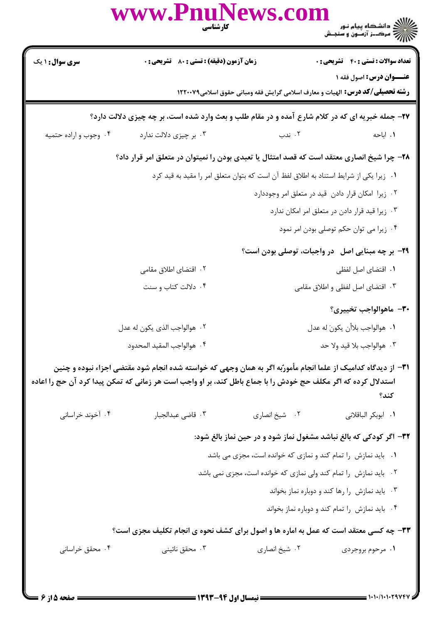|                                                                                       | www.PnuNews.com                                                                                                                                                                                                                | كارشناسي            | ے ۔<br>کا ایک دانشگاہ پیام نور<br>کا ایک مرکبز آزمیوں و سنجش                                                    |  |
|---------------------------------------------------------------------------------------|--------------------------------------------------------------------------------------------------------------------------------------------------------------------------------------------------------------------------------|---------------------|-----------------------------------------------------------------------------------------------------------------|--|
| <b>سری سوال : ۱ یک</b>                                                                | زمان آزمون (دقیقه) : تستی : 80 ٪ تشریحی : 0                                                                                                                                                                                    |                     | <b>تعداد سوالات : تستي : 40 - تشريحي : 0</b>                                                                    |  |
|                                                                                       |                                                                                                                                                                                                                                |                     | عنــوان درس: اصول فقه ١<br><b>رشته تحصیلی/کد درس:</b> الهیات و معارف اسلامی گرایش فقه ومبانی حقوق اسلامی۱۲۲۰۰۷۹ |  |
|                                                                                       | ۲۷- جمله خبریه ای که در کلام شارع آمده و در مقام طلب و بعث وارد شده است، بر چه چیزی دلالت دارد؟                                                                                                                                |                     |                                                                                                                 |  |
| ۰۴ وجوب و اراده حتمیه                                                                 | ۰۳ بر چیزی دلالت ندارد                                                                                                                                                                                                         | ۰۲ ندب              | ۰۱ اباحه                                                                                                        |  |
|                                                                                       | ۲۸– چرا شیخ انصاری معتقد است که قصد امتثال یا تعبدی بودن را نمیتوان در متعلق امر قرار داد؟                                                                                                                                     |                     |                                                                                                                 |  |
| ۰۱ زیرا یکی از شرایط استناد به اطلاق لفظ آن است که بتوان متعلق امر را مقید به قید کرد |                                                                                                                                                                                                                                |                     |                                                                                                                 |  |
|                                                                                       |                                                                                                                                                                                                                                |                     | ۰۲ زیرا امکان قرار دادن قید در متعلق امر وجوددارد                                                               |  |
| ۰۳ زیرا قید قرار دادن در متعلق امر امکان ندارد                                        |                                                                                                                                                                                                                                |                     |                                                                                                                 |  |
|                                                                                       |                                                                                                                                                                                                                                |                     | ۰۴ زیرا می توان حکم توصلی بودن امر نمود                                                                         |  |
|                                                                                       |                                                                                                                                                                                                                                |                     | <b>۲۹</b> - بر چه مبنایی اصل۔در واجبات، توصلی بودن است؟                                                         |  |
|                                                                                       | ۰۲ اقتضای اطلاق مقامی                                                                                                                                                                                                          | ٠١. اقتضاى اصل لفظى |                                                                                                                 |  |
|                                                                                       | ۰۴ دلالت کتاب و سنت                                                                                                                                                                                                            |                     | ۰۳ اقتضای اصل لفظی و اطلاق مقامی                                                                                |  |
|                                                                                       |                                                                                                                                                                                                                                |                     | ٣٠- ماهوالواجب تخييري؟                                                                                          |  |
|                                                                                       | ۰۲ هوالواجب الذي يكون له عدل                                                                                                                                                                                                   |                     | ٠١. هوالواجب بلاأن يكونَ له عدل                                                                                 |  |
|                                                                                       | ۰۴ هوالواجب المقيد المحدود                                                                                                                                                                                                     |                     | ٠٣ هوالواجب بلا قيد ولا حد                                                                                      |  |
|                                                                                       | ۳۱– از دیدگاه کدامیک از علما انجام مأمورٌبه اگر به همان وجهی که خواسته شده انجام شود مقتضی اجزاء نبوده و چنین<br>استدلال کرده که اگر مکلف حج خودش را با جماع باطل کند، بر او واجب است هر زمانی که تمکن پیدا کرد آن حج را اعاده |                     | كند؟                                                                                                            |  |
| ۰۴ آخوند خراسانی                                                                      | ۰۳ قاضی عبدالجبار                                                                                                                                                                                                              | ۰۲ شیخ انصاری       | ٠١. ابوبكر الباقلاني                                                                                            |  |
|                                                                                       |                                                                                                                                                                                                                                |                     | ۳۲- اگر کودکی که بالغ نباشد مشغول نماز شود و در حین نماز بالغ شود:                                              |  |
|                                                                                       |                                                                                                                                                                                                                                |                     | ۰۱ باید نمازش را تمام کند و نمازی که خوانده است، مجزی می باشد                                                   |  |
|                                                                                       |                                                                                                                                                                                                                                |                     | ۰۲ باید نمازش را تمام کند ولی نمازی که خوانده است، مجزی نمی باشد                                                |  |
|                                                                                       |                                                                                                                                                                                                                                |                     | ۰۳ باید نمازش را رها کند و دوباره نماز بخواند                                                                   |  |
|                                                                                       |                                                                                                                                                                                                                                |                     | ۰۴ باید نمازش را تمام کند و دوباره نماز بخواند                                                                  |  |
|                                                                                       | 33- چه کسی معتقد است که عمل به اماره ها و اصول برای کشف نحوه ی انجام تکلیف مجزی است؟                                                                                                                                           |                     |                                                                                                                 |  |
| ۰۴ محقق خراسانی                                                                       | ۰۳ محقق نائيني                                                                                                                                                                                                                 | ۰۲ شیخ انصاری       | ۰۱ مرحوم بروجردی                                                                                                |  |
|                                                                                       |                                                                                                                                                                                                                                |                     |                                                                                                                 |  |